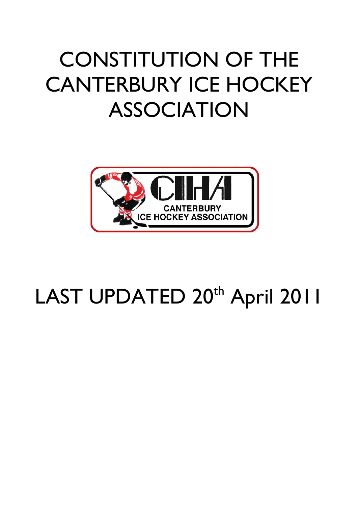# CONSTITUTION OF THE CANTERBURY ICE HOCKEY ASSOCIATION



# LAST UPDATED 20<sup>th</sup> April 2011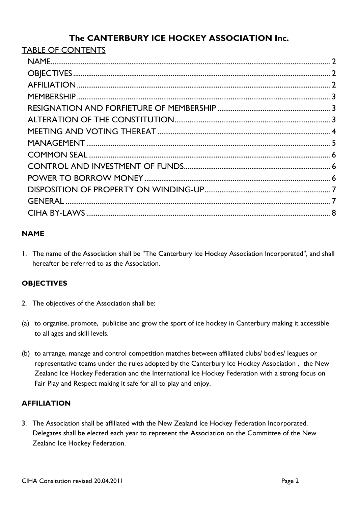# The CANTERBURY ICE HOCKEY ASSOCIATION Inc.

| <b>TABLE OF CONTENTS</b> |  |
|--------------------------|--|
|                          |  |
|                          |  |
|                          |  |
|                          |  |
|                          |  |
|                          |  |
|                          |  |
|                          |  |
|                          |  |
|                          |  |
|                          |  |
|                          |  |
|                          |  |
|                          |  |
|                          |  |

## **NAME**

1. The name of the Association shall be "The Canterbury Ice Hockey Association Incorporated", and shall hereafter be referred to as the Association.

## **OBJECTIVES**

- 2. The objectives of the Association shall be:
- (a) to organise, promote, publicise and grow the sport of ice hockey in Canterbury making it accessible to all ages and skill levels.
- (b) to arrange, manage and control competition matches between affiliated clubs/ bodies/ leagues or representative teams under the rules adopted by the Canterbury Ice Hockey Association , the New Zealand Ice Hockey Federation and the International Ice Hockey Federation with a strong focus on Fair Play and Respect making it safe for all to play and enjoy.

#### **AFFILIATION**

3. The Association shall be affiliated with the New Zealand Ice Hockey Federation Incorporated. Delegates shall be elected each year to represent the Association on the Committee of the New Zealand Ice Hockey Federation.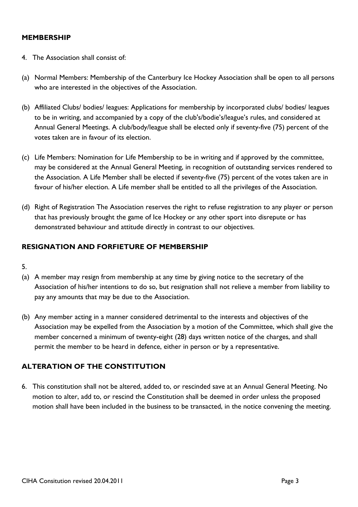#### MEMBERSHIP

- 4. The Association shall consist of:
- (a) Normal Members: Membership of the Canterbury Ice Hockey Association shall be open to all persons who are interested in the objectives of the Association.
- (b) Affiliated Clubs/ bodies/ leagues: Applications for membership by incorporated clubs/ bodies/ leagues to be in writing, and accompanied by a copy of the club's/bodie's/league's rules, and considered at Annual General Meetings. A club/body/league shall be elected only if seventy-five (75) percent of the votes taken are in favour of its election.
- (c) Life Members: Nomination for Life Membership to be in writing and if approved by the committee, may be considered at the Annual General Meeting, in recognition of outstanding services rendered to the Association. A Life Member shall be elected if seventy-five (75) percent of the votes taken are in favour of his/her election. A Life member shall be entitled to all the privileges of the Association.
- (d) Right of Registration The Association reserves the right to refuse registration to any player or person that has previously brought the game of Ice Hockey or any other sport into disrepute or has demonstrated behaviour and attitude directly in contrast to our objectives.

#### RESIGNATION AND FORFIETURE OF MEMBERSHIP

- 5.
- (a) A member may resign from membership at any time by giving notice to the secretary of the Association of his/her intentions to do so, but resignation shall not relieve a member from liability to pay any amounts that may be due to the Association.
- (b) Any member acting in a manner considered detrimental to the interests and objectives of the Association may be expelled from the Association by a motion of the Committee, which shall give the member concerned a minimum of twenty-eight (28) days written notice of the charges, and shall permit the member to be heard in defence, either in person or by a representative.

#### ALTERATION OF THE CONSTITUTION

6. This constitution shall not be altered, added to, or rescinded save at an Annual General Meeting. No motion to alter, add to, or rescind the Constitution shall be deemed in order unless the proposed motion shall have been included in the business to be transacted, in the notice convening the meeting.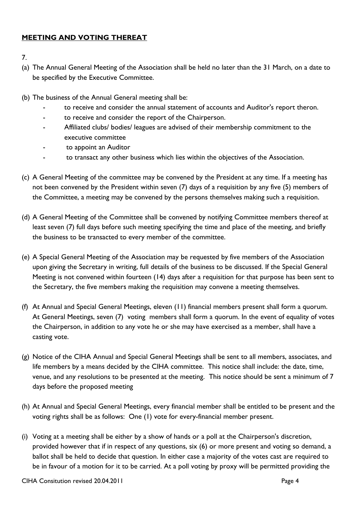#### MEETING AND VOTING THEREAT

- 7.
- (a) The Annual General Meeting of the Association shall be held no later than the 31 March, on a date to be specified by the Executive Committee.
- (b) The business of the Annual General meeting shall be:
	- to receive and consider the annual statement of accounts and Auditor's report theron.
	- to receive and consider the report of the Chairperson.
	- Affiliated clubs/ bodies/ leagues are advised of their membership commitment to the executive committee
	- to appoint an Auditor
	- to transact any other business which lies within the objectives of the Association.
- (c) A General Meeting of the committee may be convened by the President at any time. If a meeting has not been convened by the President within seven (7) days of a requisition by any five (5) members of the Committee, a meeting may be convened by the persons themselves making such a requisition.
- (d) A General Meeting of the Committee shall be convened by notifying Committee members thereof at least seven (7) full days before such meeting specifying the time and place of the meeting, and briefly the business to be transacted to every member of the committee.
- (e) A Special General Meeting of the Association may be requested by five members of the Association upon giving the Secretary in writing, full details of the business to be discussed. If the Special General Meeting is not convened within fourteen (14) days after a requisition for that purpose has been sent to the Secretary, the five members making the requisition may convene a meeting themselves.
- (f) At Annual and Special General Meetings, eleven (11) financial members present shall form a quorum. At General Meetings, seven (7) voting members shall form a quorum. In the event of equality of votes the Chairperson, in addition to any vote he or she may have exercised as a member, shall have a casting vote.
- (g) Notice of the CIHA Annual and Special General Meetings shall be sent to all members, associates, and life members by a means decided by the CIHA committee. This notice shall include: the date, time, venue, and any resolutions to be presented at the meeting. This notice should be sent a minimum of 7 days before the proposed meeting
- (h) At Annual and Special General Meetings, every financial member shall be entitled to be present and the voting rights shall be as follows: One (1) vote for every-financial member present.
- (i) Voting at a meeting shall be either by a show of hands or a poll at the Chairperson's discretion, provided however that if in respect of any questions, six (6) or more present and voting so demand, a ballot shall be held to decide that question. In either case a majority of the votes cast are required to be in favour of a motion for it to be carried. At a poll voting by proxy will be permitted providing the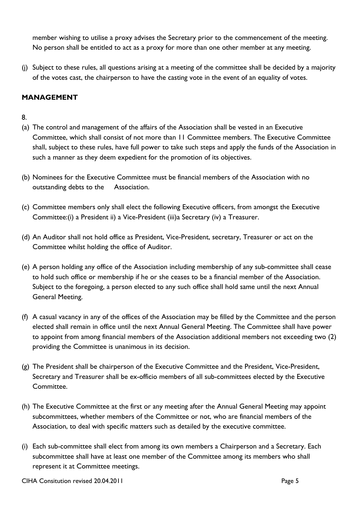member wishing to utilise a proxy advises the Secretary prior to the commencement of the meeting. No person shall be entitled to act as a proxy for more than one other member at any meeting.

(j) Subject to these rules, all questions arising at a meeting of the committee shall be decided by a majority of the votes cast, the chairperson to have the casting vote in the event of an equality of votes.

#### MANAGEMENT

#### 8.

- (a) The control and management of the affairs of the Association shall be vested in an Executive Committee, which shall consist of not more than 11 Committee members. The Executive Committee shall, subject to these rules, have full power to take such steps and apply the funds of the Association in such a manner as they deem expedient for the promotion of its objectives.
- (b) Nominees for the Executive Committee must be financial members of the Association with no outstanding debts to the Association.
- (c) Committee members only shall elect the following Executive officers, from amongst the Executive Committee:(i) a President ii) a Vice-President (iii)a Secretary (iv) a Treasurer.
- (d) An Auditor shall not hold office as President, Vice-President, secretary, Treasurer or act on the Committee whilst holding the office of Auditor.
- (e) A person holding any office of the Association including membership of any sub-committee shall cease to hold such office or membership if he or she ceases to be a financial member of the Association. Subject to the foregoing, a person elected to any such office shall hold same until the next Annual General Meeting.
- (f) A casual vacancy in any of the offices of the Association may be filled by the Committee and the person elected shall remain in office until the next Annual General Meeting. The Committee shall have power to appoint from among financial members of the Association additional members not exceeding two (2) providing the Committee is unanimous in its decision.
- (g) The President shall be chairperson of the Executive Committee and the President, Vice-President, Secretary and Treasurer shall be ex-officio members of all sub-committees elected by the Executive Committee.
- (h) The Executive Committee at the first or any meeting after the Annual General Meeting may appoint subcommittees, whether members of the Committee or not, who are financial members of the Association, to deal with specific matters such as detailed by the executive committee.
- (i) Each sub-committee shall elect from among its own members a Chairperson and a Secretary. Each subcommittee shall have at least one member of the Committee among its members who shall represent it at Committee meetings.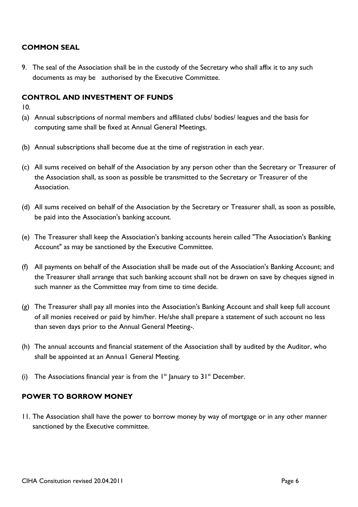#### COMMON SEAL

9. The seal of the Association shall be in the custody of the Secretary who shall affix it to any such documents as may be authorised by the Executive Committee.

#### CONTROL AND INVESTMENT OF FUNDS

- 10.
- (a) Annual subscriptions of normal members and affiliated clubs/ bodies/ leagues and the basis for computing same shall be fixed at Annual General Meetings.
- (b) Annual subscriptions shall become due at the time of registration in each year.
- (c) All sums received on behalf of the Association by any person other than the Secretary or Treasurer of the Association shall, as soon as possible be transmitted to the Secretary or Treasurer of the Association.
- (d) All sums received on behalf of the Association by the Secretary or Treasurer shall, as soon as possible, be paid into the Association's banking account.
- (e) The Treasurer shall keep the Association's banking accounts herein called "The Association's Banking Account" as may be sanctioned by the Executive Committee.
- (f) All payments on behalf of the Association shall be made out of the Association's Banking Account; and the Treasurer shall arrange that such banking account shall not be drawn on save by cheques signed in such manner as the Committee may from time to time decide.
- (g) The Treasurer shall pay all monies into the Association's Banking Account and shall keep full account of all monies received or paid by him/her. He/she shall prepare a statement of such account no less than seven days prior to the Annual General Meeting-.
- (h) The annual accounts and financial statement of the Association shall by audited by the Auditor, who shall be appointed at an Annua1 General Meeting.
- (i) The Associations financial year is from the  $1<sup>st</sup>$  January to  $31<sup>st</sup>$  December.

#### POWER TO BORROW MONEY

11. The Association shall have the power to borrow money by way of mortgage or in any other manner sanctioned by the Executive committee.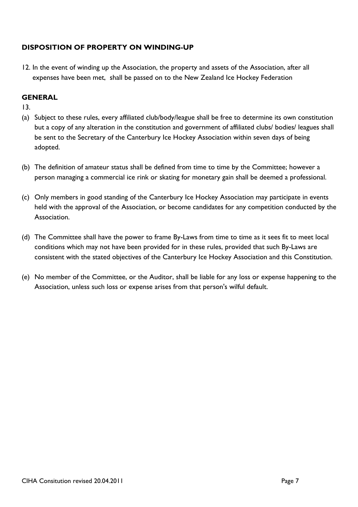#### DISPOSITION OF PROPERTY ON WINDING-UP

12. In the event of winding up the Association, the property and assets of the Association, after all expenses have been met, shall be passed on to the New Zealand Ice Hockey Federation

#### **GENERAL**

13.

- (a) Subject to these rules, every affiliated club/body/league shall be free to determine its own constitution but a copy of any alteration in the constitution and government of affiliated clubs/ bodies/ leagues shall be sent to the Secretary of the Canterbury Ice Hockey Association within seven days of being adopted.
- (b) The definition of amateur status shall be defined from time to time by the Committee; however a person managing a commercial ice rink or skating for monetary gain shall be deemed a professional.
- (c) Only members in good standing of the Canterbury Ice Hockey Association may participate in events held with the approval of the Association, or become candidates for any competition conducted by the Association.
- (d) The Committee shall have the power to frame By-Laws from time to time as it sees fit to meet local conditions which may not have been provided for in these rules, provided that such By-Laws are consistent with the stated objectives of the Canterbury Ice Hockey Association and this Constitution.
- (e) No member of the Committee, or the Auditor, shall be liable for any loss or expense happening to the Association, unless such loss or expense arises from that person's wilful default.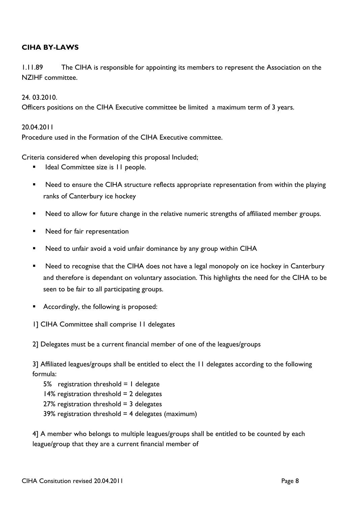### CIHA BY-LAWS

1.11.89 The CIHA is responsible for appointing its members to represent the Association on the NZIHF committee.

#### 24. 03.2010.

Officers positions on the CIHA Executive committee be limited a maximum term of 3 years.

#### 20.04.2011

Procedure used in the Formation of the CIHA Executive committee.

Criteria considered when developing this proposal Included;

- Ideal Committee size is 11 people.
- Need to ensure the CIHA structure reflects appropriate representation from within the playing ranks of Canterbury ice hockey
- ! Need to allow for future change in the relative numeric strengths of affiliated member groups.
- **EXECUTE:** Need for fair representation
- Need to unfair avoid a void unfair dominance by any group within CIHA
- Need to recognise that the CIHA does not have a legal monopoly on ice hockey in Canterbury and therefore is dependant on voluntary association. This highlights the need for the CIHA to be seen to be fair to all participating groups.
- Accordingly, the following is proposed:
- 1] CIHA Committee shall comprise 11 delegates

2] Delegates must be a current financial member of one of the leagues/groups

3] Affiliated leagues/groups shall be entitled to elect the 11 delegates according to the following formula:

5% registration threshold  $= 1$  delegate  $14\%$  registration threshold = 2 delegates  $27%$  registration threshold = 3 delegates 39% registration threshold  $=$  4 delegates (maximum)

4] A member who belongs to multiple leagues/groups shall be entitled to be counted by each league/group that they are a current financial member of